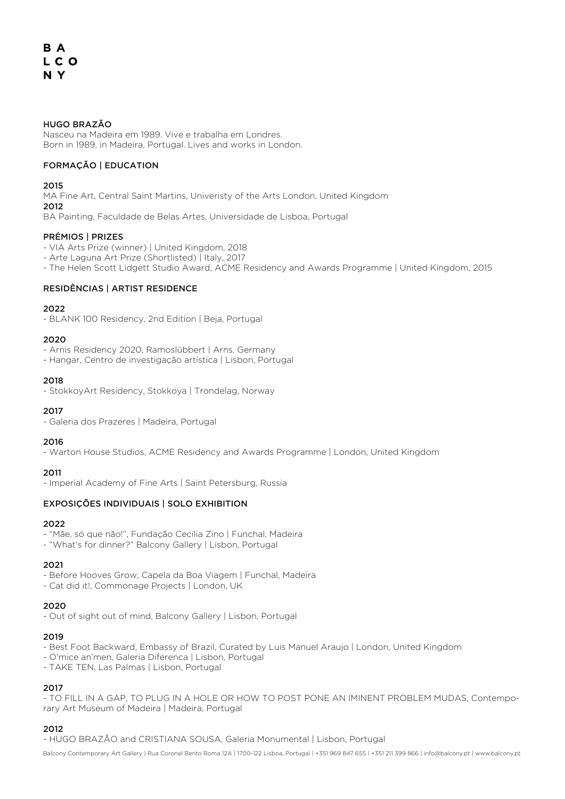# HUGO BRAZÃO

Nasceu na Madeira em 1989. Vive e trabalha em Londres. Born in 1989, in Madeira, Portugal. Lives and works in London.

# FORMAÇÃO | EDUCATION

2015

MA Fine Art, Central Saint Martins, Univeristy of the Arts London, United Kingdom  $2012$ 

BA Painting, Faculdade de Belas Artes, Universidade de Lisboa, Portugal

# PRÉMIOS | PRIZES

- VIA Arts Prize (winner) | United Kingdom, 2018
- Arte Laguna Art Prize (Shortlisted) | Italy, 2017
- The Helen Scott Lidgett Studio Award, ACME Residency and Awards Programme | United Kingdom, 2015

# RESIDÊNCIAS | ARTIST RESIDENCE

# 2022

- BLANK 100 Residency, 2nd Edition | Beja, Portugal

# 2020

- Arnis Residency 2020, Ramoslübbert | Arns, Germany

- Hangar, Centro de investigação artística | Lisbon, Portugal

# 2018

- StokkoyArt Residency, Stokkoya | Trondelag, Norway

# 2017

- Galeria dos Prazeres | Madeira, Portugal

# 2016

- Warton House Studios, ACME Residency and Awards Programme | London, United Kingdom

# 2011

- Imperial Academy of Fine Arts | Saint Petersburg, Russia

# EXPOSIÇÕES INDIVIDUAIS | SOLO EXHIBITION

# 2022

- "Mãe, só que não!", Fundação Cecília Zino | Funchal, Madeira

- "What's for dinner?" Balcony Gallery | Lisbon, Portugal

# 2021

- Before Hooves Grow, Capela da Boa Viagem | Funchal, Madeira

- Cat did it!, Commonage Projects | London, UK

# 2020

- Out of sight out of mind, Balcony Gallery | Lisbon, Portugal

# 2019

- Best Foot Backward, Embassy of Brazil, Curated by Luis Manuel Araujo | London, United Kingdom

- O'mice an'men, Galeria Diferenca | Lisbon, Portugal
- TAKE TEN, Las Palmas | Lisbon, Portugal

# 2017

- TO FILL IN A GAP, TO PLUG IN A HOLE OR HOW TO POST PONE AN IMINENT PROBLEM MUDAS, Contemporary Art Museum of Madeira | Madeira, Portugal

# 2012

- HUGO BRAZÃO and CRISTIANA SOUSA, Galeria Monumental | Lisbon, Portugal

Balcony Contemporary Art Gallery | Rua Coronel Bento Roma 12A | 1700-122 Lisboa, Portugal | +351 969 847 655 | +351 211 399 866 | info@balcony.pt | www.balcony.pt